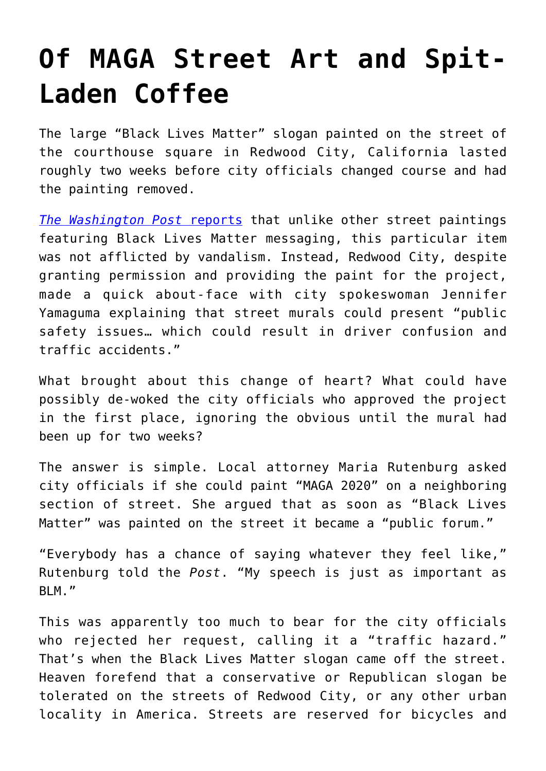## **[Of MAGA Street Art and Spit-](https://intellectualtakeout.org/2020/07/of-maga-street-art-and-spit-laden-coffee/)[Laden Coffee](https://intellectualtakeout.org/2020/07/of-maga-street-art-and-spit-laden-coffee/)**

The large "Black Lives Matter" slogan painted on the street of the courthouse square in Redwood City, California lasted roughly two weeks before city officials changed course and had the painting removed.

*[The Washington Post](https://www.washingtonpost.com/nation/2020/07/22/california-blm-maga-art/)* [reports](https://www.washingtonpost.com/nation/2020/07/22/california-blm-maga-art/) that unlike other street paintings featuring Black Lives Matter messaging, this particular item was not afflicted by vandalism. Instead, Redwood City, despite granting permission and providing the paint for the project, made a quick about-face with city spokeswoman Jennifer Yamaguma explaining that street murals could present "public safety issues… which could result in driver confusion and traffic accidents."

What brought about this change of heart? What could have possibly de-woked the city officials who approved the project in the first place, ignoring the obvious until the mural had been up for two weeks?

The answer is simple. Local attorney Maria Rutenburg asked city officials if she could paint "MAGA 2020" on a neighboring section of street. She argued that as soon as "Black Lives Matter" was painted on the street it became a "public forum."

"Everybody has a chance of saying whatever they feel like," Rutenburg told the *Post*. "My speech is just as important as BLM."

This was apparently too much to bear for the city officials who rejected her request, calling it a "traffic hazard." That's when the Black Lives Matter slogan came off the street. Heaven forefend that a conservative or Republican slogan be tolerated on the streets of Redwood City, or any other urban locality in America. Streets are reserved for bicycles and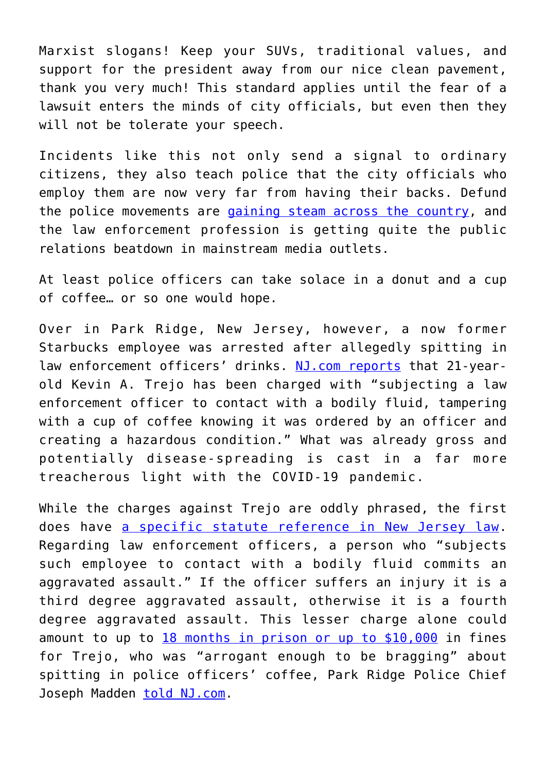Marxist slogans! Keep your SUVs, traditional values, and support for the president away from our nice clean pavement, thank you very much! This standard applies until the fear of a lawsuit enters the minds of city officials, but even then they will not be tolerate your speech.

Incidents like this not only send a signal to ordinary citizens, they also teach police that the city officials who employ them are now very far from having their backs. Defund the police movements are [gaining steam across the country,](https://www.nytimes.com/2020/07/03/us/politics/polling-defund-the-police.html) and the law enforcement profession is getting quite the public relations beatdown in mainstream media outlets.

At least police officers can take solace in a donut and a cup of coffee… or so one would hope.

Over in Park Ridge, New Jersey, however, a now former Starbucks employee was arrested after allegedly spitting in law enforcement officers' drinks. [NJ.com reports](https://www.nj.com/bergen/2020/07/starbucks-worker-admits-he-spit-in-officers-drinks-bragged-about-it-police-chief-says.html) that 21-yearold Kevin A. Trejo has been charged with "subjecting a law enforcement officer to contact with a bodily fluid, tampering with a cup of coffee knowing it was ordered by an officer and creating a hazardous condition." What was already gross and potentially disease-spreading is cast in a far more treacherous light with the COVID-19 pandemic.

While the charges against Trejo are oddly phrased, the first does have [a specific statute reference in New Jersey law.](https://www.lawserver.com/law/state/new-jersey/nj-laws/new_jersey_laws_2c_12-13) Regarding law enforcement officers, a person who "subjects such employee to contact with a bodily fluid commits an aggravated assault." If the officer suffers an injury it is a third degree aggravated assault, otherwise it is a fourth degree aggravated assault. This lesser charge alone could amount to up to [18 months in prison or up to \\$10,000](https://www.criminaldefenselawyer.com/resources/criminal-defense/criminal-offense/new-jersey-aggravated-assault-laws) in fines for Trejo, who was "arrogant enough to be bragging" about spitting in police officers' coffee, Park Ridge Police Chief Joseph Madden [told NJ.com.](https://www.nj.com/bergen/2020/07/starbucks-worker-admits-he-spit-in-officers-drinks-bragged-about-it-police-chief-says.html)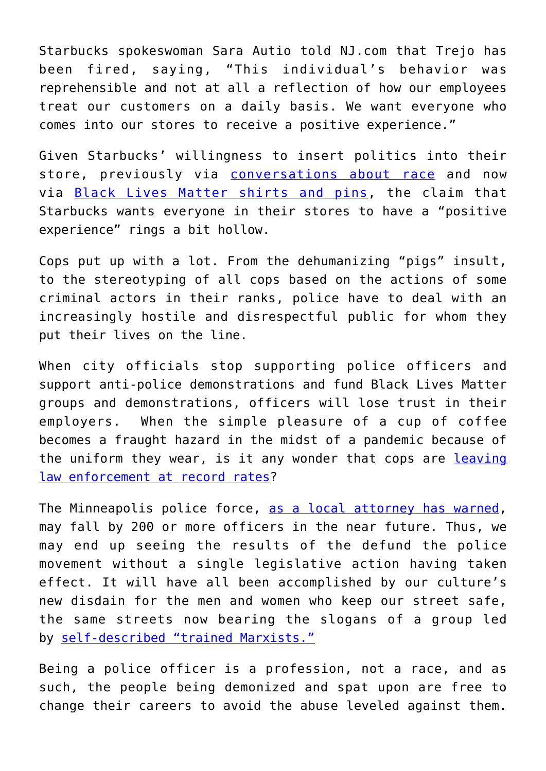Starbucks spokeswoman Sara Autio told NJ.com that Trejo has been fired, saying, "This individual's behavior was reprehensible and not at all a reflection of how our employees treat our customers on a daily basis. We want everyone who comes into our stores to receive a positive experience."

Given Starbucks' willingness to insert politics into their store, previously via [conversations about race](https://www.nytimes.com/2015/03/23/business/media/starbucks-ends-tempestuous-initiative-on-race.html) and now via [Black Lives Matter shirts and pins,](https://stories.starbucks.com/stories/2020/standing-together-against-racial-injustice/) the claim that Starbucks wants everyone in their stores to have a "positive experience" rings a bit hollow.

Cops put up with a lot. From the dehumanizing "pigs" insult, to the stereotyping of all cops based on the actions of some criminal actors in their ranks, police have to deal with an increasingly hostile and disrespectful public for whom they put their lives on the line.

When city officials stop supporting police officers and support anti-police demonstrations and fund Black Lives Matter groups and demonstrations, officers will lose trust in their employers. When the simple pleasure of a cup of coffee becomes a fraught hazard in the midst of a pandemic because of the uniform they wear, is it any wonder that cops are [leaving](https://nypost.com/2020/07/08/nypd-limits-retirement-applications-amid-411-surge-this-week/) [law enforcement at record rates](https://nypost.com/2020/07/08/nypd-limits-retirement-applications-amid-411-surge-this-week/)?

The Minneapolis police force, [as a local attorney has warned,](https://kstp.com/news/attorney-minneapolis-could-have-200-fewer-police-within-several-months-july-2-2020/5780297/) may fall by 200 or more officers in the near future. Thus, we may end up seeing the results of the defund the police movement without a single legislative action having taken effect. It will have all been accomplished by our culture's new disdain for the men and women who keep our street safe, the same streets now bearing the slogans of a group led by [self-described "trained Marxists."](https://www.intellectualtakeout.org/behind-the-masks-marxism-and-black-lives-matter/)

Being a police officer is a profession, not a race, and as such, the people being demonized and spat upon are free to change their careers to avoid the abuse leveled against them.